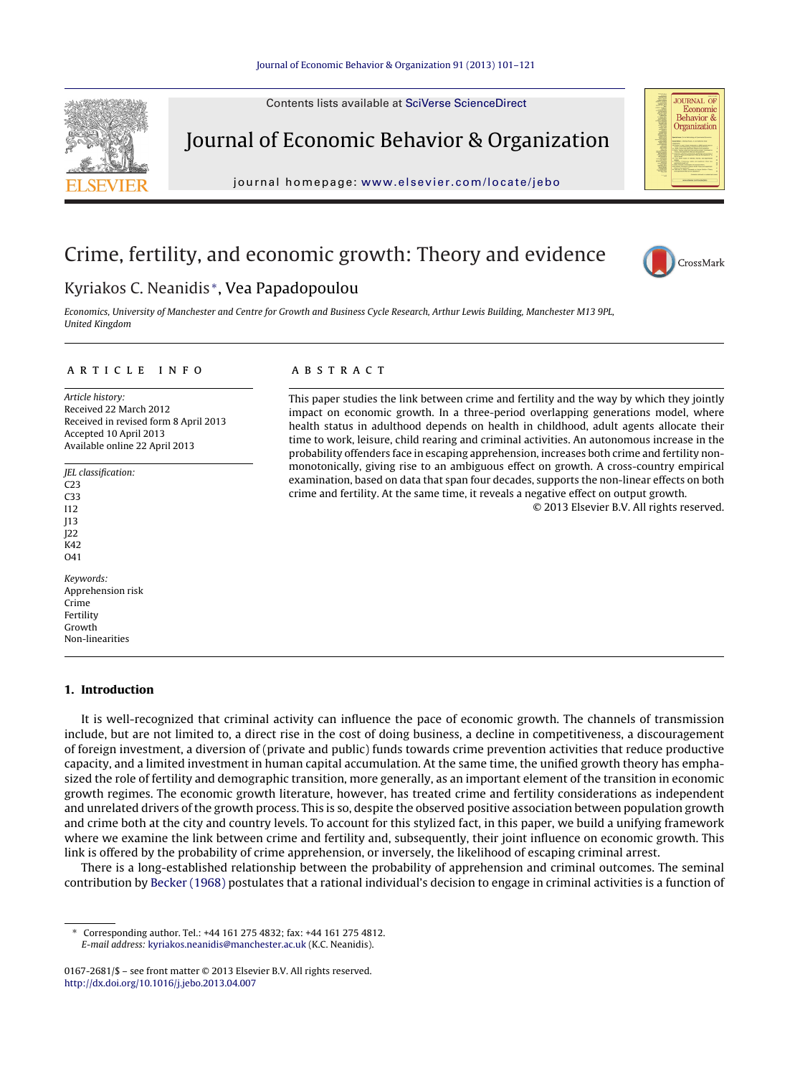Contents lists available at SciVerse [ScienceDirect](http://www.sciencedirect.com/science/journal/01672681)



Journal of Economic Behavior & Organization

journal homepage: [www.elsevier.com/locate/jebo](http://www.elsevier.com/locate/jebo)



## Crime, fertility, and economic growth: Theory and evidence

# CrossMark

### Kyriakos C. Neanidis <sup>∗</sup>, Vea Papadopoulou

Economics, University of Manchester and Centre for Growth and Business Cycle Research, Arthur Lewis Building, Manchester M13 9PL, United Kingdom

#### a r t i c l e i n f o

Article history: Received 22 March 2012 Received in revised form 8 April 2013 Accepted 10 April 2013 Available online 22 April 2013

JEL classification: C23 C33 I12 J13 J22 K42  $041$ Keywords: Apprehension risk Crime Fertility Growth Non-linearities

#### **1. Introduction**

It is well-recognized that criminal activity can influence the pace of economic growth. The channels of transmission include, but are not limited to, a direct rise in the cost of doing business, a decline in competitiveness, a discouragement of foreign investment, a diversion of (private and public) funds towards crime prevention activities that reduce productive capacity, and a limited investment in human capital accumulation. At the same time, the unified growth theory has emphasized the role of fertility and demographic transition, more generally, as an important element of the transition in economic growth regimes. The economic growth literature, however, has treated crime and fertility considerations as independent and unrelated drivers of the growth process. This is so, despite the observed positive association between population growth and crime both at the city and country levels. To account for this stylized fact, in this paper, we build a unifying framework where we examine the link between crime and fertility and, subsequently, their joint influence on economic growth. This link is offered by the probability of crime apprehension, or inversely, the likelihood of escaping criminal arrest.

There is a long-established relationship between the probability of apprehension and criminal outcomes. The seminal contribution by [Becker](#page--1-0) [\(1968\)](#page--1-0) postulates that a rational individual's decision to engage in criminal activities is a function of

#### a b s t r a c t

This paper studies the link between crime and fertility and the way by which they jointly impact on economic growth. In a three-period overlapping generations model, where health status in adulthood depends on health in childhood, adult agents allocate their time to work, leisure, child rearing and criminal activities. An autonomous increase in the probability offenders face in escaping apprehension, increases both crime and fertility nonmonotonically, giving rise to an ambiguous effect on growth. A cross-country empirical examination, based on data that span four decades, supports the non-linear effects on both crime and fertility. At the same time, it reveals a negative effect on output growth.

© 2013 Elsevier B.V. All rights reserved.

<sup>∗</sup> Corresponding author. Tel.: +44 161 275 4832; fax: +44 161 275 4812. E-mail address: [kyriakos.neanidis@manchester.ac.uk](mailto:kyriakos.neanidis@manchester.ac.uk) (K.C. Neanidis).

<sup>0167-2681/\$</sup> – see front matter © 2013 Elsevier B.V. All rights reserved. [http://dx.doi.org/10.1016/j.jebo.2013.04.007](dx.doi.org/10.1016/j.jebo.2013.04.007)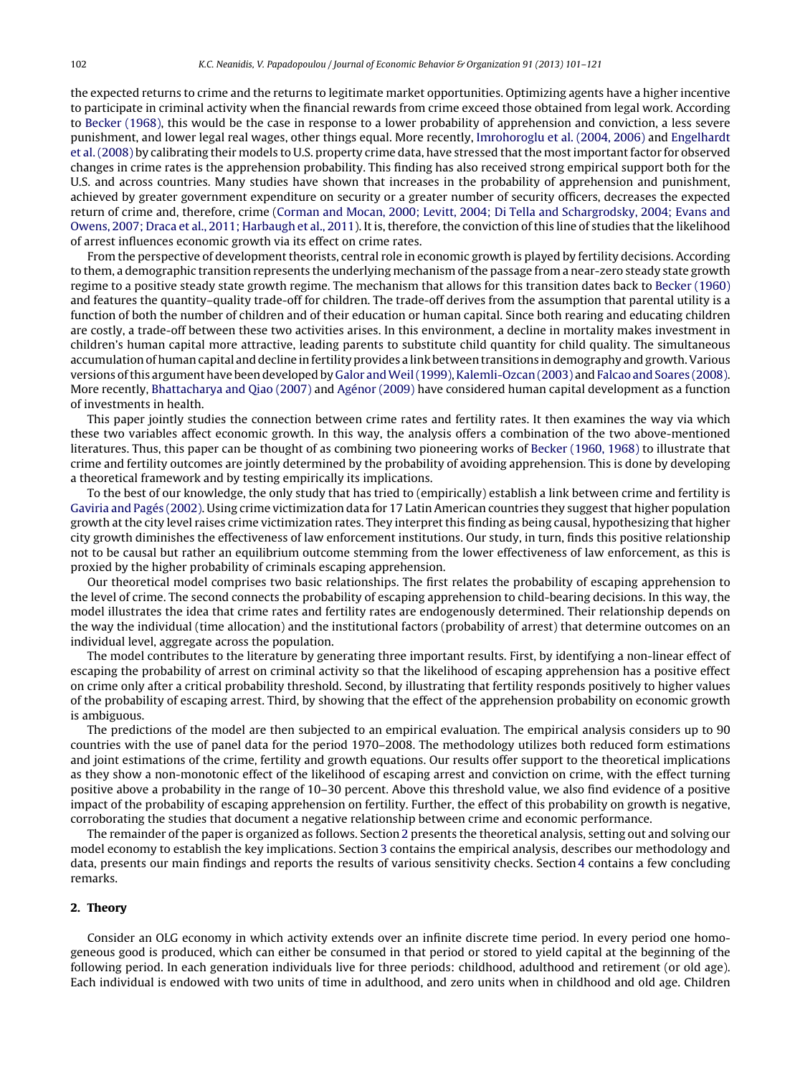the expected returns to crime and the returns to legitimate market opportunities. Optimizing agents have a higher incentive to participate in criminal activity when the financial rewards from crime exceed those obtained from legal work. According to [Becker](#page--1-0) [\(1968\),](#page--1-0) this would be the case in response to a lower probability of apprehension and conviction, a less severe punishment, and lower legal real wages, other things equal. More recently, [Imrohoroglu](#page--1-0) et [al.](#page--1-0) [\(2004,](#page--1-0) [2006\)](#page--1-0) and [Engelhardt](#page--1-0) et al. (2008) by calibrating their models to U.S. property crime data, have stressed that the most important factor for observed changes in crime rates is the apprehension probability. This finding has also received strong empirical support both for the U.S. and across countries. Many studies have shown that increases in the probability of apprehension and punishment, achieved by greater government expenditure on security or a greater number of security officers, decreases the expected return of crime and, therefore, crime [\(Corman](#page--1-0) [and](#page--1-0) [Mocan,](#page--1-0) [2000;](#page--1-0) [Levitt,](#page--1-0) [2004;](#page--1-0) [Di](#page--1-0) [Tella](#page--1-0) [and](#page--1-0) [Schargrodsky,](#page--1-0) [2004;](#page--1-0) [Evans](#page--1-0) [and](#page--1-0) [Owens,](#page--1-0) [2007;](#page--1-0) [Draca](#page--1-0) et [al.,](#page--1-0) [2011;](#page--1-0) [Harbaugh](#page--1-0) et al., [2011\).](#page--1-0) It is, therefore, the conviction of this line of studies that the likelihood of arrest influences economic growth via its effect on crime rates.

From the perspective of development theorists, central role in economic growth is played by fertility decisions. According to them, a demographic transition represents the underlying mechanism ofthe passage from a near-zero steady state growth regime to a positive steady state growth regime. The mechanism that allows for this transition dates back to [Becker](#page--1-0) [\(1960\)](#page--1-0) and features the quantity–quality trade-off for children. The trade-off derives from the assumption that parental utility is a function of both the number of children and of their education or human capital. Since both rearing and educating children are costly, a trade-off between these two activities arises. In this environment, a decline in mortality makes investment in children's human capital more attractive, leading parents to substitute child quantity for child quality. The simultaneous accumulation of human capital and decline in fertility provides a link between transitions in demography and growth. Various versions of this argument have been developed by [Galor](#page--1-0) and Weil (1999), Kalemli-Ozcan [\(2003\)](#page--1-0) and [Falcao](#page--1-0) [and](#page--1-0) [Soares](#page--1-0) [\(2008\).](#page--1-0) More recently, [Bhattacharya](#page--1-0) [and](#page--1-0) [Qiao](#page--1-0) [\(2007\)](#page--1-0) and [Agénor](#page--1-0) [\(2009\)](#page--1-0) have considered human capital development as a function of investments in health.

This paper jointly studies the connection between crime rates and fertility rates. It then examines the way via which these two variables affect economic growth. In this way, the analysis offers a combination of the two above-mentioned literatures. Thus, this paper can be thought of as combining two pioneering works of [Becker](#page--1-0) [\(1960,](#page--1-0) [1968\)](#page--1-0) to illustrate that crime and fertility outcomes are jointly determined by the probability of avoiding apprehension. This is done by developing a theoretical framework and by testing empirically its implications.

To the best of our knowledge, the only study that has tried to (empirically) establish a link between crime and fertility is [Gaviria](#page--1-0) [and](#page--1-0) [Pagés](#page--1-0) [\(2002\).](#page--1-0) Using crime victimization data for 17 Latin American countries they suggestthat higher population growth at the city level raises crime victimization rates. They interpret this finding as being causal, hypothesizing that higher city growth diminishes the effectiveness of law enforcement institutions. Our study, in turn, finds this positive relationship not to be causal but rather an equilibrium outcome stemming from the lower effectiveness of law enforcement, as this is proxied by the higher probability of criminals escaping apprehension.

Our theoretical model comprises two basic relationships. The first relates the probability of escaping apprehension to the level of crime. The second connects the probability of escaping apprehension to child-bearing decisions. In this way, the model illustrates the idea that crime rates and fertility rates are endogenously determined. Their relationship depends on the way the individual (time allocation) and the institutional factors (probability of arrest) that determine outcomes on an individual level, aggregate across the population.

The model contributes to the literature by generating three important results. First, by identifying a non-linear effect of escaping the probability of arrest on criminal activity so that the likelihood of escaping apprehension has a positive effect on crime only after a critical probability threshold. Second, by illustrating that fertility responds positively to higher values of the probability of escaping arrest. Third, by showing that the effect of the apprehension probability on economic growth is ambiguous.

The predictions of the model are then subjected to an empirical evaluation. The empirical analysis considers up to 90 countries with the use of panel data for the period 1970–2008. The methodology utilizes both reduced form estimations and joint estimations of the crime, fertility and growth equations. Our results offer support to the theoretical implications as they show a non-monotonic effect of the likelihood of escaping arrest and conviction on crime, with the effect turning positive above a probability in the range of 10–30 percent. Above this threshold value, we also find evidence of a positive impact of the probability of escaping apprehension on fertility. Further, the effect of this probability on growth is negative, corroborating the studies that document a negative relationship between crime and economic performance.

The remainder of the paper is organized as follows. Section 2 presents the theoretical analysis, setting out and solving our model economy to establish the key implications. Section [3](#page--1-0) contains the empirical analysis, describes our methodology and data, presents our main findings and reports the results of various sensitivity checks. Section [4](#page--1-0) contains a few concluding remarks.

#### **2. Theory**

Consider an OLG economy in which activity extends over an infinite discrete time period. In every period one homogeneous good is produced, which can either be consumed in that period or stored to yield capital at the beginning of the following period. In each generation individuals live for three periods: childhood, adulthood and retirement (or old age). Each individual is endowed with two units of time in adulthood, and zero units when in childhood and old age. Children